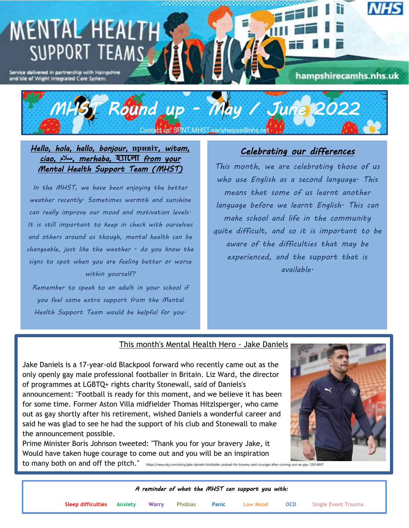## **MENTAL HEALTH** SUPPORT TEAMS

Service delivered in partnership with Hampshire<br>and isle of Wight Integrated Care System.

# *MHST Round up - May / June 2022*

Contact us: SPNT.MHST.earlyhelpse@nhs.net

#### *Hello, hola, hallo, bonjour,* **привіт***, witam, ciao,* **سالم***, merhaba,* **হ্যাল া** *from your Mental Health Support Team (MHST)*

*In the MHST, we have been enjoying the better weather recently. Sometimes warmth and sunshine can really improve our mood and motivation levels. It is still important to keep in check with ourselves and others around us though, mental health can be changeable, just like the weather - do you know the signs to spot when you are feeling better or worse within yourself?*

*Remember to speak to an adult in your school if you feel some extra support from the Mental Health Support Team would be helpful for you.*

### *Celebrating our differences*

hampshirecamhs.nhs.uk

*This month, we are celebrating those of us who use English as a second language. This means that some of us learnt another language before we learnt English. This can make school and life in the community quite difficult, and so it is important to be aware of the difficulties that may be experienced, and the support that is available.*

#### This month's Mental Health Hero - Jake Daniels

Jake Daniels is a 17-year-old Blackpool forward who recently came out as the only openly gay male professional footballer in Britain. Liz Ward, the director of programmes at LGBTQ+ rights charity Stonewall, said of Daniels's announcement: "Football is ready for this moment, and we believe it has been for some time. Former Aston Villa midfielder Thomas Hitzlsperger, who came out as gay shortly after his retirement, wished Daniels a wonderful career and said he was glad to see he had the support of his club and Stonewall to make the announcement possible.

Prime Minister Boris Johnson tweeted: "Thank you for your bravery Jake, it Would have taken huge courage to come out and you will be an inspiration



|                            |              |                |       | A reminder of what the MHST can support you with: |            |                     |
|----------------------------|--------------|----------------|-------|---------------------------------------------------|------------|---------------------|
| Sleep difficulties Anxiety | <b>Worry</b> | <b>Phobias</b> | Panic | <b>Low Mood</b>                                   | <b>OCD</b> | Single Event Trauma |